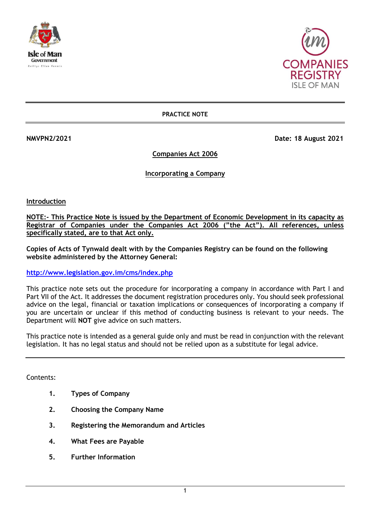



**PRACTICE NOTE**

**NMVPN2/2021 Date: 18 August 2021** 

**Companies Act 2006**

**Incorporating a Company**

**Introduction**

**NOTE:- This Practice Note is issued by the Department of Economic Development in its capacity as Registrar of Companies under the Companies Act 2006 ("the Act"). All references, unless specifically stated, are to that Act only.**

**Copies of Acts of Tynwald dealt with by the Companies Registry can be found on the following website administered by the Attorney General:**

**<http://www.legislation.gov.im/cms/index.php>**

This practice note sets out the procedure for incorporating a company in accordance with Part I and Part VII of the Act. It addresses the document registration procedures only. You should seek professional advice on the legal, financial or taxation implications or consequences of incorporating a company if you are uncertain or unclear if this method of conducting business is relevant to your needs. The Department will **NOT** give advice on such matters.

This practice note is intended as a general guide only and must be read in conjunction with the relevant legislation. It has no legal status and should not be relied upon as a substitute for legal advice.

Contents:

- **1. Types of Company**
- **2. Choosing the Company Name**
- **3. Registering the Memorandum and Articles**
- **4. What Fees are Payable**
- **5. Further Information**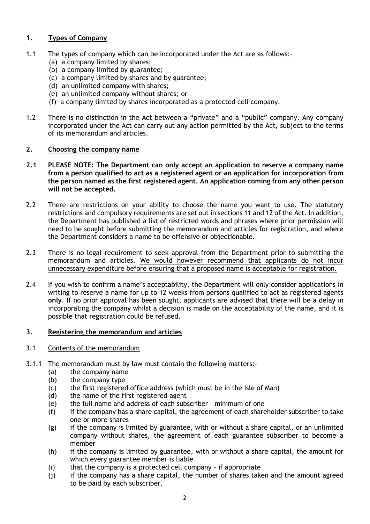# **1. Types of Company**

- 1.1 The types of company which can be incorporated under the Act are as follows:-
	- (a) a company limited by shares;
	- (b) a company limited by guarantee;
	- (c) a company limited by shares and by guarantee;
	- (d) an unlimited company with shares;
	- (e) an unlimited company without shares; or
	- (f) a company limited by shares incorporated as a protected cell company.
- 1.2 There is no distinction in the Act between a "private" and a "public" company. Any company incorporated under the Act can carry out any action permitted by the Act, subject to the terms of its memorandum and articles.

### **2. Choosing the company name**

- **2.1 PLEASE NOTE: The Department can only accept an application to reserve a company name from a person qualified to act as a registered agent or an application for incorporation from the person named as the first registered agent. An application coming from any other person will not be accepted.**
- 2.2 There are restrictions on your ability to choose the name you want to use. The statutory restrictions and compulsory requirements are set out in sections 11 and 12 of the Act. In addition, the Department has published a list of restricted words and phrases where prior permission will need to be sought before submitting the memorandum and articles for registration, and where the Department considers a name to be offensive or objectionable.
- 2.3 There is no legal requirement to seek approval from the Department prior to submitting the memorandum and articles. We would however recommend that applicants do not incur unnecessary expenditure before ensuring that a proposed name is acceptable for registration.
- 2.4 If you wish to confirm a name's acceptability, the Department will only consider applications in writing to reserve a name for up to 12 weeks from persons qualified to act as registered agents **only**. If no prior approval has been sought, applicants are advised that there will be a delay in incorporating the company whilst a decision is made on the acceptability of the name, and it is possible that registration could be refused.

### **3. Registering the memorandum and articles**

- 3.1 Contents of the memorandum
- 3.1.1 The memorandum must by law must contain the following matters:-
	- (a) the company name
	- (b) the company type
	- (c) the first registered office address (which must be in the Isle of Man)
	- (d) the name of the first registered agent
	- (e) the full name and address of each subscriber minimum of one
	- (f) if the company has a share capital, the agreement of each shareholder subscriber to take one or more shares
	- (g) if the company is limited by guarantee, with or without a share capital, or an unlimited company without shares, the agreement of each guarantee subscriber to become a member
	- (h) if the company is limited by guarantee, with or without a share capital, the amount for which every guarantee member is liable
	- (i) that the company is a protected cell company if appropriate
	- (j) if the company has a share capital, the number of shares taken and the amount agreed to be paid by each subscriber.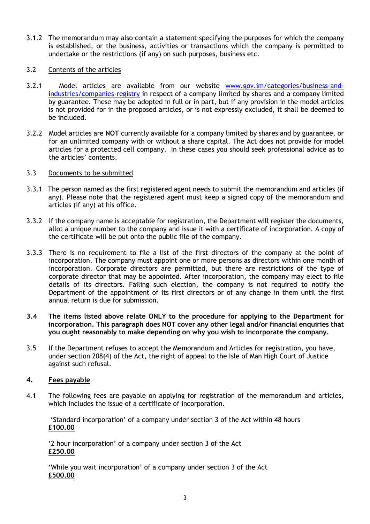3.1.2 The memorandum may also contain a statement specifying the purposes for which the company is established, or the business, activities or transactions which the company is permitted to undertake or the restrictions (if any) on such purposes, business etc.

### 3.2 Contents of the articles

- 3.2.1 Model articles are available from our website [www.gov.im/categories/business-and](http://www.gov.im/categories/business-and-industries/companies-registry)[industries/companies-registry](http://www.gov.im/categories/business-and-industries/companies-registry) in respect of a company limited by shares and a company limited by guarantee. These may be adopted in full or in part, but if any provision in the model articles is not provided for in the proposed articles, or is not expressly excluded, it shall be deemed to be included.
- 3.2.2 Model articles are **NOT** currently available for a company limited by shares and by guarantee, or for an unlimited company with or without a share capital. The Act does not provide for model articles for a protected cell company. In these cases you should seek professional advice as to the articles' contents.

#### 3.3 Documents to be submitted

- 3.3.1 The person named as the first registered agent needs to submit the memorandum and articles (if any). Please note that the registered agent must keep a signed copy of the memorandum and articles (if any) at his office.
- 3.3.2 If the company name is acceptable for registration, the Department will register the documents, allot a unique number to the company and issue it with a certificate of incorporation. A copy of the certificate will be put onto the public file of the company.
- 3.3.3 There is no requirement to file a list of the first directors of the company at the point of incorporation. The company must appoint one or more persons as directors within one month of incorporation. Corporate directors are permitted, but there are restrictions of the type of corporate director that may be appointed. After incorporation, the company may elect to file details of its directors. Failing such election, the company is not required to notify the Department of the appointment of its first directors or of any change in them until the first annual return is due for submission.
- **3.4 The items listed above relate ONLY to the procedure for applying to the Department for incorporation. This paragraph does NOT cover any other legal and/or financial enquiries that you ought reasonably to make depending on why you wish to incorporate the company.**
- 3.5 If the Department refuses to accept the Memorandum and Articles for registration, you have, under section 208(4) of the Act, the right of appeal to the Isle of Man High Court of Justice against such refusal.

### **4. Fees payable**

4.1 The following fees are payable on applying for registration of the memorandum and articles, which includes the issue of a certificate of incorporation.

'Standard incorporation' of a company under section 3 of the Act within 48 hours **£100.00**

'2 hour incorporation' of a company under section 3 of the Act **£250.00**

'While you wait incorporation' of a company under section 3 of the Act **£500.00**